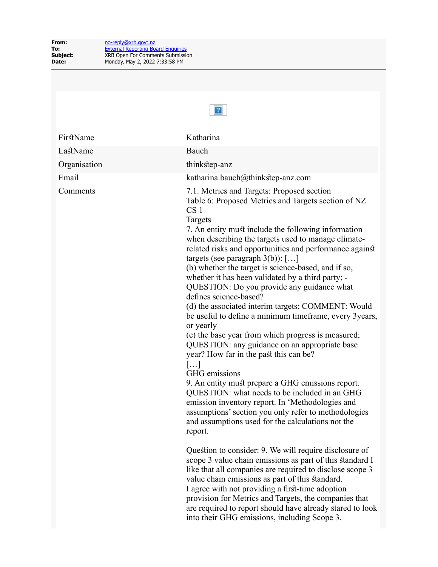| 2            |                                                                                                                                                                                                                                                                                                                                                                                                                                                                                                                                                                                                                                                                                                                                                                                                                                                                                                                                                                                                                                                                                                                                               |  |
|--------------|-----------------------------------------------------------------------------------------------------------------------------------------------------------------------------------------------------------------------------------------------------------------------------------------------------------------------------------------------------------------------------------------------------------------------------------------------------------------------------------------------------------------------------------------------------------------------------------------------------------------------------------------------------------------------------------------------------------------------------------------------------------------------------------------------------------------------------------------------------------------------------------------------------------------------------------------------------------------------------------------------------------------------------------------------------------------------------------------------------------------------------------------------|--|
| FirstName    | Katharina                                                                                                                                                                                                                                                                                                                                                                                                                                                                                                                                                                                                                                                                                                                                                                                                                                                                                                                                                                                                                                                                                                                                     |  |
| LastName     | Bauch                                                                                                                                                                                                                                                                                                                                                                                                                                                                                                                                                                                                                                                                                                                                                                                                                                                                                                                                                                                                                                                                                                                                         |  |
| Organisation | thinkstep-anz                                                                                                                                                                                                                                                                                                                                                                                                                                                                                                                                                                                                                                                                                                                                                                                                                                                                                                                                                                                                                                                                                                                                 |  |
| Email        | katharina.bauch@thinkstep-anz.com                                                                                                                                                                                                                                                                                                                                                                                                                                                                                                                                                                                                                                                                                                                                                                                                                                                                                                                                                                                                                                                                                                             |  |
| Comments     | 7.1. Metrics and Targets: Proposed section<br>Table 6: Proposed Metrics and Targets section of NZ<br>CS <sub>1</sub><br>Targets<br>7. An entity must include the following information<br>when describing the targets used to manage climate-<br>related risks and opportunities and performance against<br>targets (see paragraph $3(b)$ ): []<br>(b) whether the target is science-based, and if so,<br>whether it has been validated by a third party; -<br>QUESTION: Do you provide any guidance what<br>defines science-based?<br>(d) the associated interim targets; COMMENT: Would<br>be useful to define a minimum timeframe, every 3years,<br>or yearly<br>(e) the base year from which progress is measured;<br>QUESTION: any guidance on an appropriate base<br>year? How far in the past this can be?<br>$\left[\ldots\right]$<br>GHG emissions<br>9. An entity must prepare a GHG emissions report.<br>QUESTION: what needs to be included in an GHG<br>emission inventory report. In 'Methodologies and<br>assumptions' section you only refer to methodologies<br>and assumptions used for the calculations not the<br>report. |  |
|              | Question to consider: 9. We will require disclosure of<br>scope 3 value chain emissions as part of this standard I<br>like that all companies are required to disclose scope 3<br>value chain emissions as part of this standard.<br>I agree with not providing a first-time adoption<br>provision for Metrics and Targets, the companies that<br>are required to report should have already stared to look<br>into their GHG emissions, including Scope 3.                                                                                                                                                                                                                                                                                                                                                                                                                                                                                                                                                                                                                                                                                   |  |